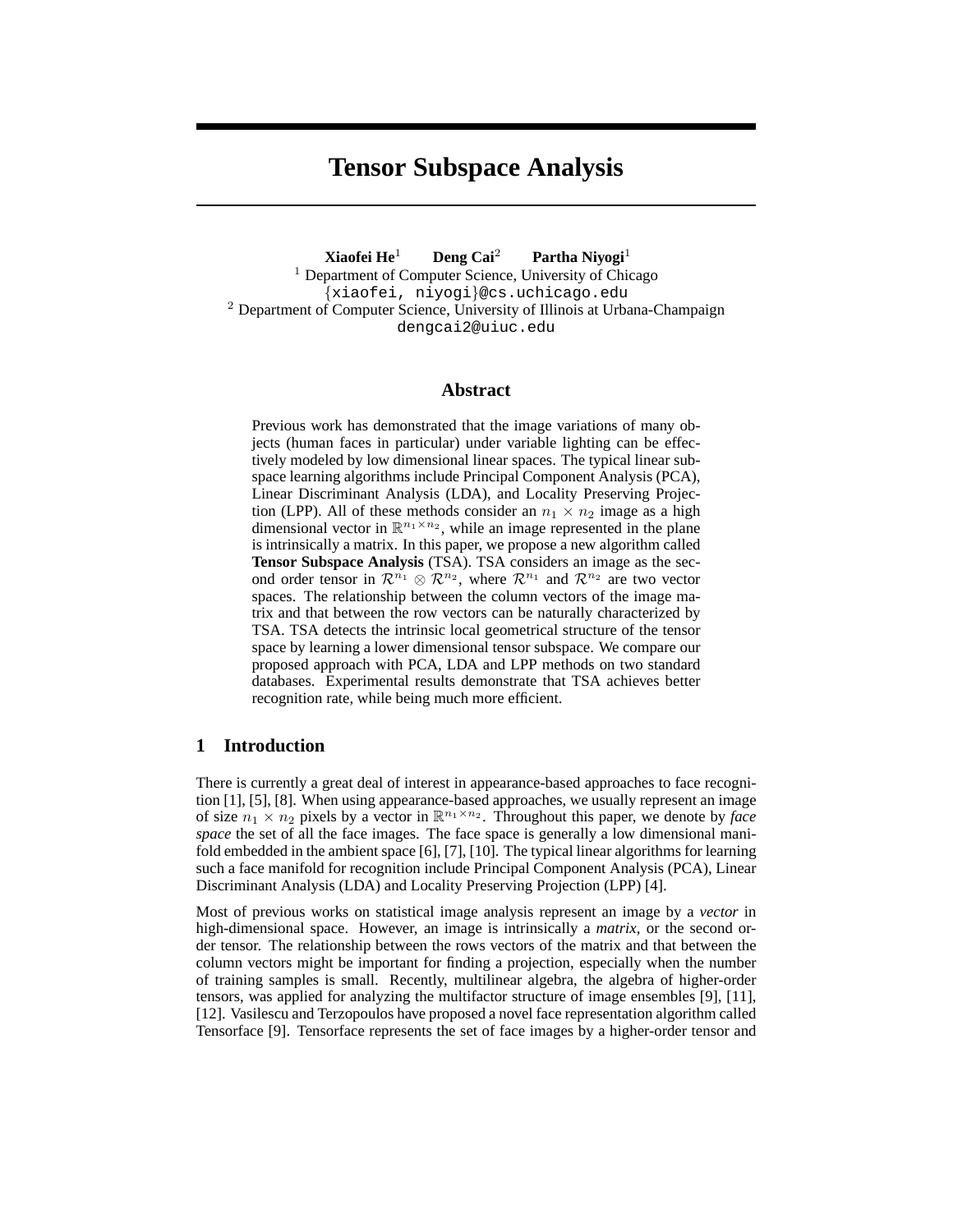# **Tensor Subspace Analysis**

**Xiaofei He**<sup>1</sup> **Deng Cai**<sup>2</sup> **Partha Niyogi**<sup>1</sup>  $<sup>1</sup>$  Department of Computer Science, University of Chicago</sup> {xiaofei, niyogi}@cs.uchicago.edu <sup>2</sup> Department of Computer Science, University of Illinois at Urbana-Champaign dengcai2@uiuc.edu

## **Abstract**

Previous work has demonstrated that the image variations of many objects (human faces in particular) under variable lighting can be effectively modeled by low dimensional linear spaces. The typical linear subspace learning algorithms include Principal Component Analysis (PCA), Linear Discriminant Analysis (LDA), and Locality Preserving Projection (LPP). All of these methods consider an  $n_1 \times n_2$  image as a high dimensional vector in  $\mathbb{R}^{n_1 \times n_2}$ , while an image represented in the plane is intrinsically a matrix. In this paper, we propose a new algorithm called **Tensor Subspace Analysis** (TSA). TSA considers an image as the second order tensor in  $\mathcal{R}^{n_1} \otimes \mathcal{R}^{n_2}$ , where  $\mathcal{R}^{n_1}$  and  $\mathcal{R}^{n_2}$  are two vector spaces. The relationship between the column vectors of the image matrix and that between the row vectors can be naturally characterized by TSA. TSA detects the intrinsic local geometrical structure of the tensor space by learning a lower dimensional tensor subspace. We compare our proposed approach with PCA, LDA and LPP methods on two standard databases. Experimental results demonstrate that TSA achieves better recognition rate, while being much more efficient.

# **1 Introduction**

There is currently a great deal of interest in appearance-based approaches to face recognition [1], [5], [8]. When using appearance-based approaches, we usually represent an image of size  $n_1 \times n_2$  pixels by a vector in  $\mathbb{R}^{n_1 \times n_2}$ . Throughout this paper, we denote by *face space* the set of all the face images. The face space is generally a low dimensional manifold embedded in the ambient space [6], [7], [10]. The typical linear algorithms for learning such a face manifold for recognition include Principal Component Analysis (PCA), Linear Discriminant Analysis (LDA) and Locality Preserving Projection (LPP) [4].

Most of previous works on statistical image analysis represent an image by a *vector* in high-dimensional space. However, an image is intrinsically a *matrix*, or the second order tensor. The relationship between the rows vectors of the matrix and that between the column vectors might be important for finding a projection, especially when the number of training samples is small. Recently, multilinear algebra, the algebra of higher-order tensors, was applied for analyzing the multifactor structure of image ensembles [9], [11], [12]. Vasilescu and Terzopoulos have proposed a novel face representation algorithm called Tensorface [9]. Tensorface represents the set of face images by a higher-order tensor and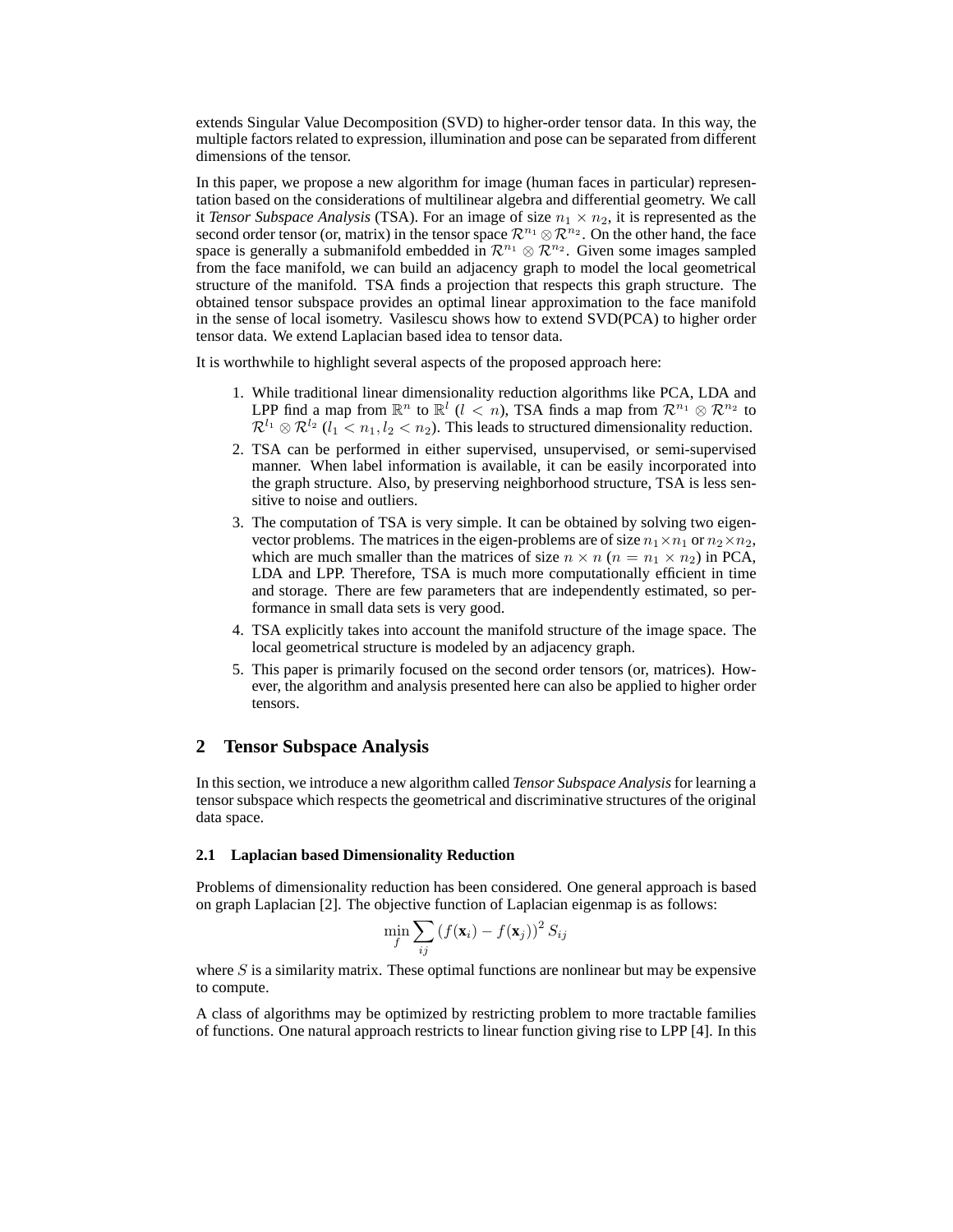extends Singular Value Decomposition (SVD) to higher-order tensor data. In this way, the multiple factors related to expression, illumination and pose can be separated from different dimensions of the tensor.

In this paper, we propose a new algorithm for image (human faces in particular) representation based on the considerations of multilinear algebra and differential geometry. We call it *Tensor Subspace Analysis* (TSA). For an image of size  $n_1 \times n_2$ , it is represented as the second order tensor (or, matrix) in the tensor space  $\mathcal{R}^{n_1} \otimes \mathcal{R}^{n_2}$ . On the other hand, the face space is generally a submanifold embedded in  $\mathbb{R}^{n_1} \otimes \mathbb{R}^{n_2}$ . Given some images sampled from the face manifold, we can build an adjacency graph to model the local geometrical structure of the manifold. TSA finds a projection that respects this graph structure. The obtained tensor subspace provides an optimal linear approximation to the face manifold in the sense of local isometry. Vasilescu shows how to extend SVD(PCA) to higher order tensor data. We extend Laplacian based idea to tensor data.

It is worthwhile to highlight several aspects of the proposed approach here:

- 1. While traditional linear dimensionality reduction algorithms like PCA, LDA and LPP find a map from  $\mathbb{R}^n$  to  $\mathbb{R}^l$  ( $l < n$ ), TSA finds a map from  $\mathcal{R}^{n_1} \otimes \mathcal{R}^{n_2}$  to  $\mathcal{R}^{l_1} \otimes \mathcal{R}^{l_2}$  ( $l_1 < n_1, l_2 < n_2$ ). This leads to structured dimensionality reduction.
- 2. TSA can be performed in either supervised, unsupervised, or semi-supervised manner. When label information is available, it can be easily incorporated into the graph structure. Also, by preserving neighborhood structure, TSA is less sensitive to noise and outliers.
- 3. The computation of TSA is very simple. It can be obtained by solving two eigenvector problems. The matrices in the eigen-problems are of size  $n_1 \times n_1$  or  $n_2 \times n_2$ , which are much smaller than the matrices of size  $n \times n$  ( $n = n_1 \times n_2$ ) in PCA, LDA and LPP. Therefore, TSA is much more computationally efficient in time and storage. There are few parameters that are independently estimated, so performance in small data sets is very good.
- 4. TSA explicitly takes into account the manifold structure of the image space. The local geometrical structure is modeled by an adjacency graph.
- 5. This paper is primarily focused on the second order tensors (or, matrices). However, the algorithm and analysis presented here can also be applied to higher order tensors.

### **2 Tensor Subspace Analysis**

In this section, we introduce a new algorithm called *Tensor Subspace Analysis*for learning a tensor subspace which respects the geometrical and discriminative structures of the original data space.

#### **2.1 Laplacian based Dimensionality Reduction**

Problems of dimensionality reduction has been considered. One general approach is based on graph Laplacian [2]. The objective function of Laplacian eigenmap is as follows:

$$
\min_{f} \sum_{ij} \left( f(\mathbf{x}_i) - f(\mathbf{x}_j) \right)^2 S_{ij}
$$

where  $S$  is a similarity matrix. These optimal functions are nonlinear but may be expensive to compute.

A class of algorithms may be optimized by restricting problem to more tractable families of functions. One natural approach restricts to linear function giving rise to LPP [4]. In this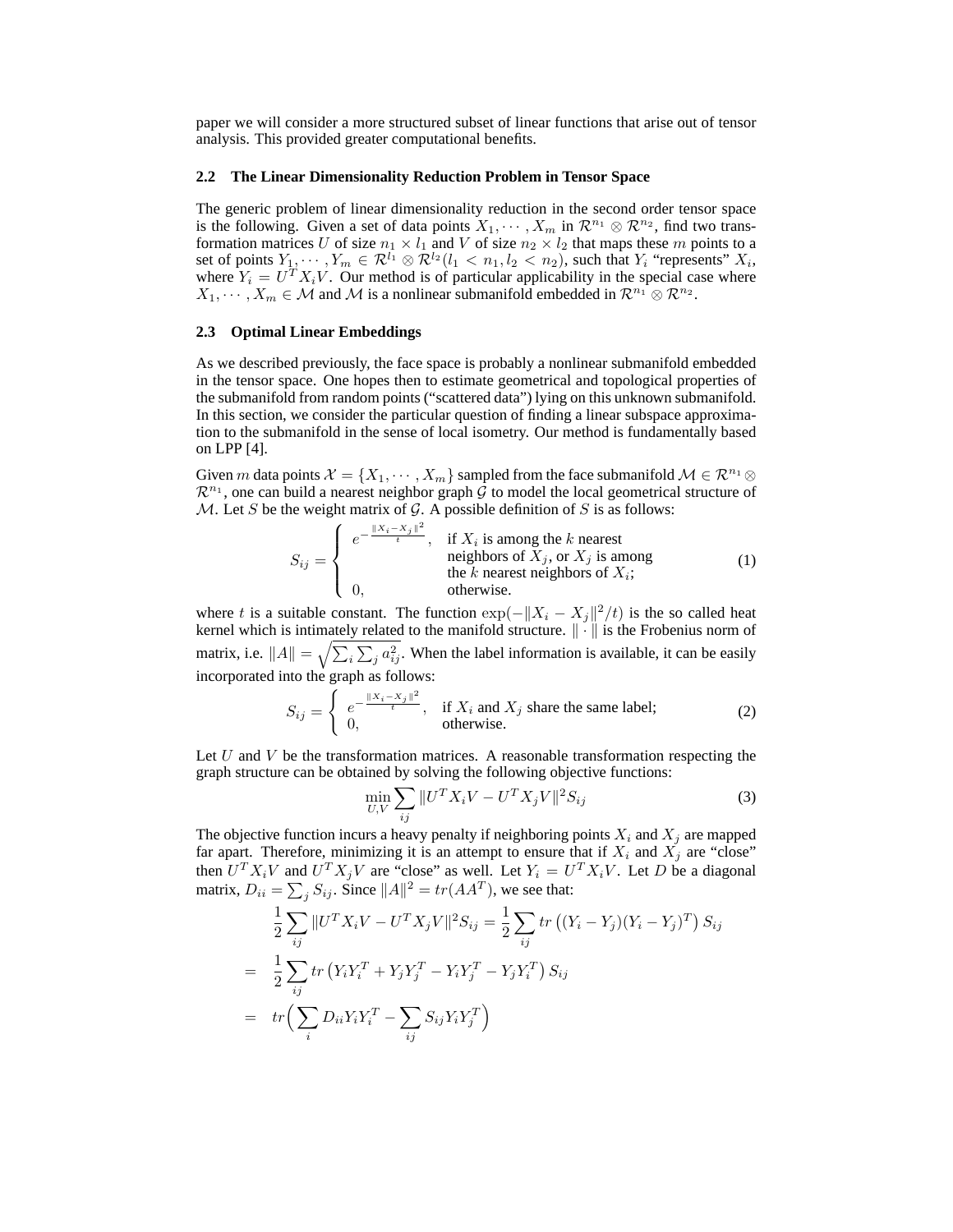paper we will consider a more structured subset of linear functions that arise out of tensor analysis. This provided greater computational benefits.

#### **2.2 The Linear Dimensionality Reduction Problem in Tensor Space**

The generic problem of linear dimensionality reduction in the second order tensor space is the following. Given a set of data points  $X_1, \cdots, X_m$  in  $\mathcal{R}^{n_1} \otimes \mathcal{R}^{n_2}$ , find two transformation matrices U of size  $n_1 \times l_1$  and V of size  $n_2 \times l_2$  that maps these m points to a set of points  $Y_1, \dots, Y_m \in \mathcal{R}^{l_1} \otimes \mathcal{R}^{l_2}(l_1 < n_1, l_2 < n_2)$ , such that  $Y_i$  "represents"  $X_i$ , where  $Y_i = U^T X_i V$ . Our method is of particular applicability in the special case where  $X_1, \cdots, X_m \in \mathcal{M}$  and  $\mathcal{M}$  is a nonlinear submanifold embedded in  $\mathcal{R}^{n_1} \otimes \mathcal{R}^{n_2}$ .

#### **2.3 Optimal Linear Embeddings**

As we described previously, the face space is probably a nonlinear submanifold embedded in the tensor space. One hopes then to estimate geometrical and topological properties of the submanifold from random points ("scattered data") lying on this unknown submanifold. In this section, we consider the particular question of finding a linear subspace approximation to the submanifold in the sense of local isometry. Our method is fundamentally based on LPP [4].

Given m data points  $\mathcal{X} = \{X_1, \dots, X_m\}$  sampled from the face submanifold  $\mathcal{M} \in \mathbb{R}^{n_1} \otimes$  $\mathcal{R}^{n_1}$ , one can build a nearest neighbor graph  $\overline{\mathcal{G}}$  to model the local geometrical structure of  $M$ . Let S be the weight matrix of G. A possible definition of S is as follows:

$$
S_{ij} = \begin{cases} e^{-\frac{\|X_i - X_j\|^2}{t}}, & \text{if } X_i \text{ is among the } k \text{ nearest} \\ & \text{neighbors of } X_j, \text{ or } X_j \text{ is among} \\ 0, & \text{otherwise.} \end{cases} \tag{1}
$$

where t is a suitable constant. The function  $\exp(-||X_i - X_j||^2/t)$  is the so called heat kernel which is intimately related to the manifold structure.  $\|\cdot\|$  is the Frobenius norm of matrix, i.e.  $||A|| = \sqrt{\sum_i \sum_j a_{ij}^2}$ . When the label information is available, it can be easily incorporated into the graph as follows:

$$
S_{ij} = \begin{cases} e^{-\frac{\|X_i - X_j\|^2}{t}}, & \text{if } X_i \text{ and } X_j \text{ share the same label;}\\ 0, & \text{otherwise.} \end{cases}
$$
 (2)

Let  $U$  and  $V$  be the transformation matrices. A reasonable transformation respecting the graph structure can be obtained by solving the following objective functions:

$$
\min_{U,V} \sum_{ij} \|U^T X_i V - U^T X_j V\|^2 S_{ij}
$$
\n(3)

The objective function incurs a heavy penalty if neighboring points  $X_i$  and  $X_j$  are mapped far apart. Therefore, minimizing it is an attempt to ensure that if  $X_i$  and  $X_j$  are "close" then  $U^T X_i V$  and  $U^T X_j V$  are "close" as well. Let  $Y_i = U^T X_i V$ . Let D be a diagonal matrix,  $D_{ii} = \sum_j S_{ij}$ . Since  $||A||^2 = tr(AA^T)$ , we see that:

$$
\frac{1}{2} \sum_{ij} ||U^T X_i V - U^T X_j V||^2 S_{ij} = \frac{1}{2} \sum_{ij} tr ((Y_i - Y_j)(Y_i - Y_j)^T) S_{ij}
$$
\n
$$
= \frac{1}{2} \sum_{ij} tr (Y_i Y_i^T + Y_j Y_j^T - Y_i Y_j^T - Y_j Y_i^T) S_{ij}
$$
\n
$$
= tr \Big( \sum_i D_{ii} Y_i Y_i^T - \sum_{ij} S_{ij} Y_i Y_j^T \Big)
$$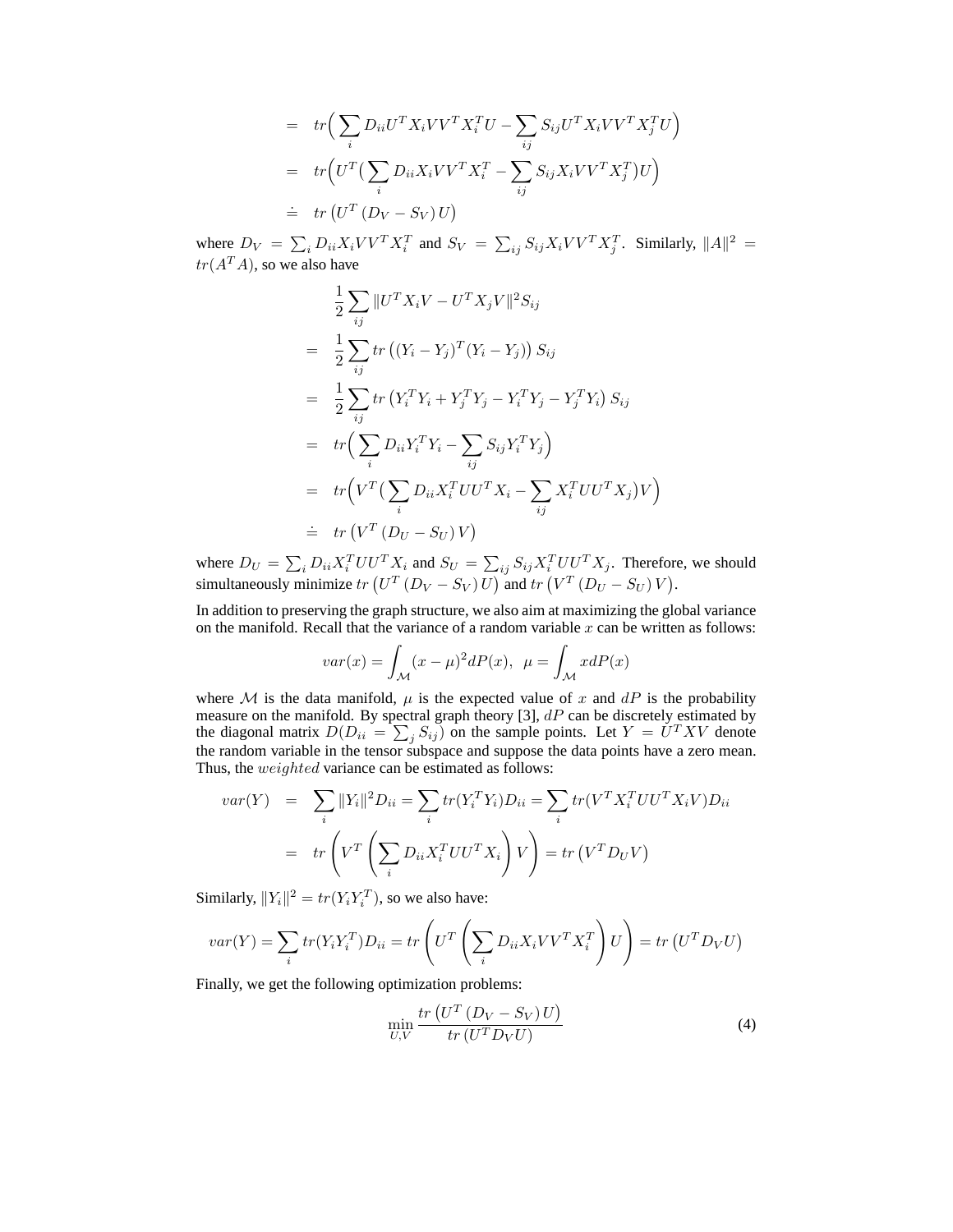$$
= tr\Big(\sum_{i} D_{ii} U^{T} X_{i} V V^{T} X_{i}^{T} U - \sum_{ij} S_{ij} U^{T} X_{i} V V^{T} X_{j}^{T} U\Big)
$$
  

$$
= tr\Big(U^{T}\Big(\sum_{i} D_{ii} X_{i} V V^{T} X_{i}^{T} - \sum_{ij} S_{ij} X_{i} V V^{T} X_{j}^{T}\Big) U\Big)
$$
  

$$
\doteq tr\Big(U^{T}\Big(D_{V} - S_{V}\Big) U\Big)
$$

where  $D_V = \sum_i D_{ii} X_i V V^T X_i^T$  and  $S_V = \sum_{ij} S_{ij} X_i V V^T X_j^T$ . Similarly,  $||A||^2$  =  $tr(A^T A)$ , so we also have

$$
\frac{1}{2} \sum_{ij} ||U^T X_i V - U^T X_j V||^2 S_{ij}
$$
\n
$$
= \frac{1}{2} \sum_{ij} tr ((Y_i - Y_j)^T (Y_i - Y_j)) S_{ij}
$$
\n
$$
= \frac{1}{2} \sum_{ij} tr (Y_i^T Y_i + Y_j^T Y_j - Y_i^T Y_j - Y_j^T Y_i) S_{ij}
$$
\n
$$
= tr \Big( \sum_i D_{ii} Y_i^T Y_i - \sum_{ij} S_{ij} Y_i^T Y_j \Big)
$$
\n
$$
= tr \Big( V^T \Big( \sum_i D_{ii} X_i^T U U^T X_i - \sum_{ij} X_i^T U U^T X_j \Big) V \Big)
$$
\n
$$
= tr \Big( V^T \Big( D_U - S_U \Big) V \Big)
$$

where  $D_U = \sum_i D_{ii} X_i^T U U^T X_i$  and  $S_U = \sum_{ij} S_{ij} X_i^T U U^T X_j$ . Therefore, we should simultaneously minimize  $tr(U^T(D_V - S_V)U)$  and  $tr(U^T(D_U - S_U)V)$ .

In addition to preserving the graph structure, we also aim at maximizing the global variance on the manifold. Recall that the variance of a random variable  $x$  can be written as follows:

$$
var(x) = \int_{\mathcal{M}} (x - \mu)^2 dP(x), \ \mu = \int_{\mathcal{M}} x dP(x)
$$

where M is the data manifold,  $\mu$  is the expected value of x and dP is the probability measure on the manifold. By spectral graph theory [3],  $dP$  can be discretely estimated by the diagonal matrix  $D(D_{ii} = \sum_j S_{ij})$  on the sample points. Let  $Y = U^T X V$  denote the random variable in the tensor subspace and suppose the data points have a zero mean. Thus, the weighted variance can be estimated as follows:

$$
var(Y) = \sum_{i} ||Y_i||^2 D_{ii} = \sum_{i} tr(Y_i^T Y_i) D_{ii} = \sum_{i} tr(V^T X_i^T U U^T X_i V) D_{ii}
$$

$$
= tr\left(V^T \left(\sum_{i} D_{ii} X_i^T U U^T X_i\right) V\right) = tr\left(V^T D_U V\right)
$$

Similarly,  $||Y_i||^2 = tr(Y_i Y_i^T)$ , so we also have:

$$
var(Y) = \sum_{i} tr(Y_i Y_i^T) D_{ii} = tr\left(U^T \left(\sum_{i} D_{ii} X_i V V^T X_i^T\right) U\right) = tr\left(U^T D_V U\right)
$$

Finally, we get the following optimization problems:

$$
\min_{U,V} \frac{tr\left(U^T\left(D_V - S_V\right)U\right)}{tr\left(U^TD_VU\right)}\tag{4}
$$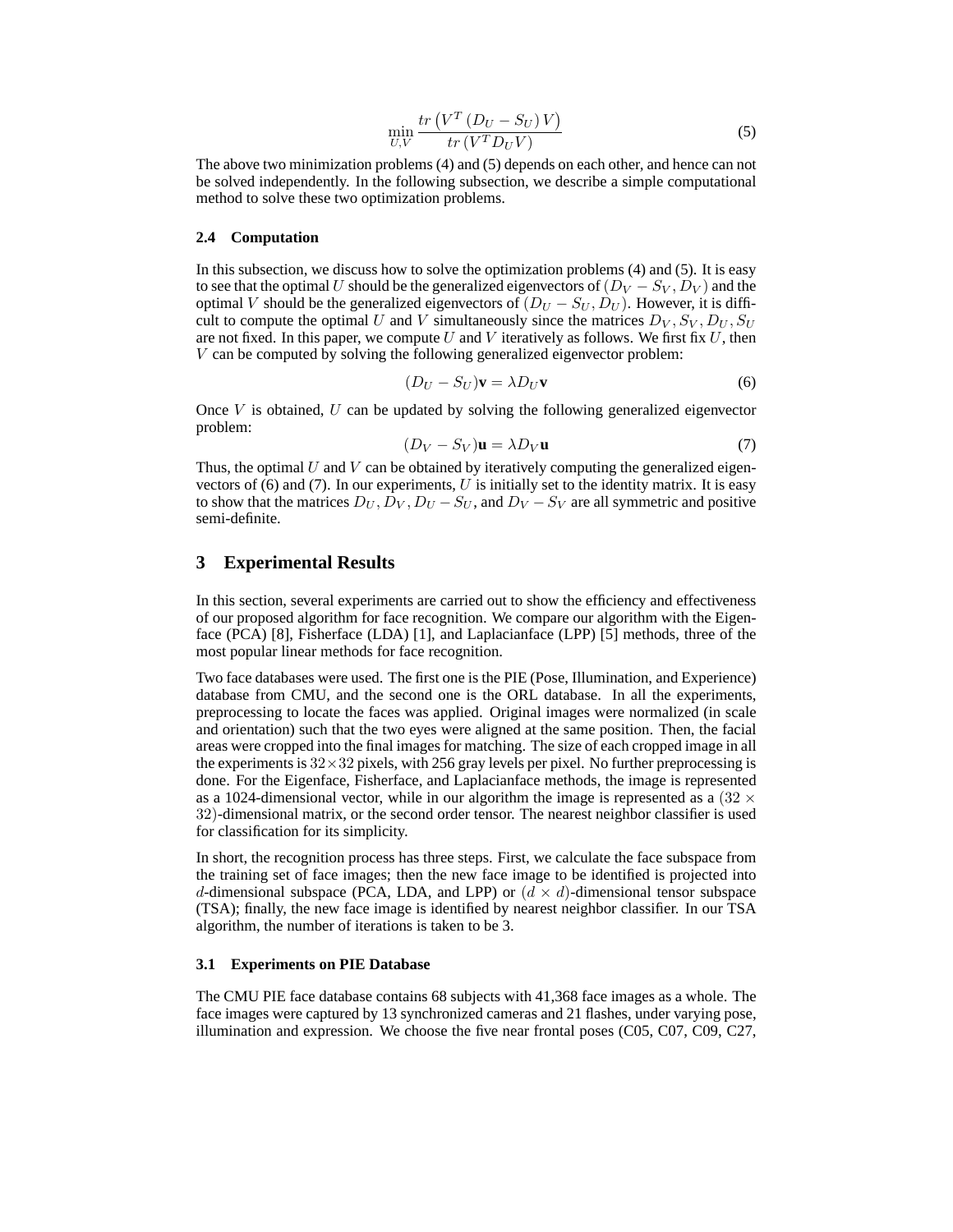$$
\min_{U,V} \frac{tr\left(V^T\left(D_U - S_U\right)V\right)}{tr\left(V^T D_U V\right)}\tag{5}
$$

The above two minimization problems (4) and (5) depends on each other, and hence can not be solved independently. In the following subsection, we describe a simple computational method to solve these two optimization problems.

#### **2.4 Computation**

In this subsection, we discuss how to solve the optimization problems (4) and (5). It is easy to see that the optimal U should be the generalized eigenvectors of  $(D_V - S_V, D_V)$  and the optimal V should be the generalized eigenvectors of  $(D_U - S_U, D_U)$ . However, it is difficult to compute the optimal U and V simultaneously since the matrices  $D_V$ ,  $S_V$ ,  $D_U$ ,  $S_U$ are not fixed. In this paper, we compute U and V iteratively as follows. We first fix  $U$ , then V can be computed by solving the following generalized eigenvector problem:

$$
(D_U - S_U)\mathbf{v} = \lambda D_U \mathbf{v}
$$
\n(6)

Once  $V$  is obtained,  $U$  can be updated by solving the following generalized eigenvector problem:

$$
(D_V - S_V)\mathbf{u} = \lambda D_V \mathbf{u}
$$
\n(7)

Thus, the optimal U and V can be obtained by iteratively computing the generalized eigenvectors of  $(6)$  and  $(7)$ . In our experiments, U is initially set to the identity matrix. It is easy to show that the matrices  $D_U, D_V, D_U - S_U$ , and  $D_V - S_V$  are all symmetric and positive semi-definite.

# **3 Experimental Results**

In this section, several experiments are carried out to show the efficiency and effectiveness of our proposed algorithm for face recognition. We compare our algorithm with the Eigenface (PCA) [8], Fisherface (LDA) [1], and Laplacianface (LPP) [5] methods, three of the most popular linear methods for face recognition.

Two face databases were used. The first one is the PIE (Pose, Illumination, and Experience) database from CMU, and the second one is the ORL database. In all the experiments, preprocessing to locate the faces was applied. Original images were normalized (in scale and orientation) such that the two eyes were aligned at the same position. Then, the facial areas were cropped into the final images for matching. The size of each cropped image in all the experiments is  $32 \times 32$  pixels, with 256 gray levels per pixel. No further preprocessing is done. For the Eigenface, Fisherface, and Laplacianface methods, the image is represented as a 1024-dimensional vector, while in our algorithm the image is represented as a  $(32 \times$ 32)-dimensional matrix, or the second order tensor. The nearest neighbor classifier is used for classification for its simplicity.

In short, the recognition process has three steps. First, we calculate the face subspace from the training set of face images; then the new face image to be identified is projected into d-dimensional subspace (PCA, LDA, and LPP) or  $(d \times d)$ -dimensional tensor subspace (TSA); finally, the new face image is identified by nearest neighbor classifier. In our TSA algorithm, the number of iterations is taken to be 3.

#### **3.1 Experiments on PIE Database**

The CMU PIE face database contains 68 subjects with 41,368 face images as a whole. The face images were captured by 13 synchronized cameras and 21 flashes, under varying pose, illumination and expression. We choose the five near frontal poses (C05, C07, C09, C27,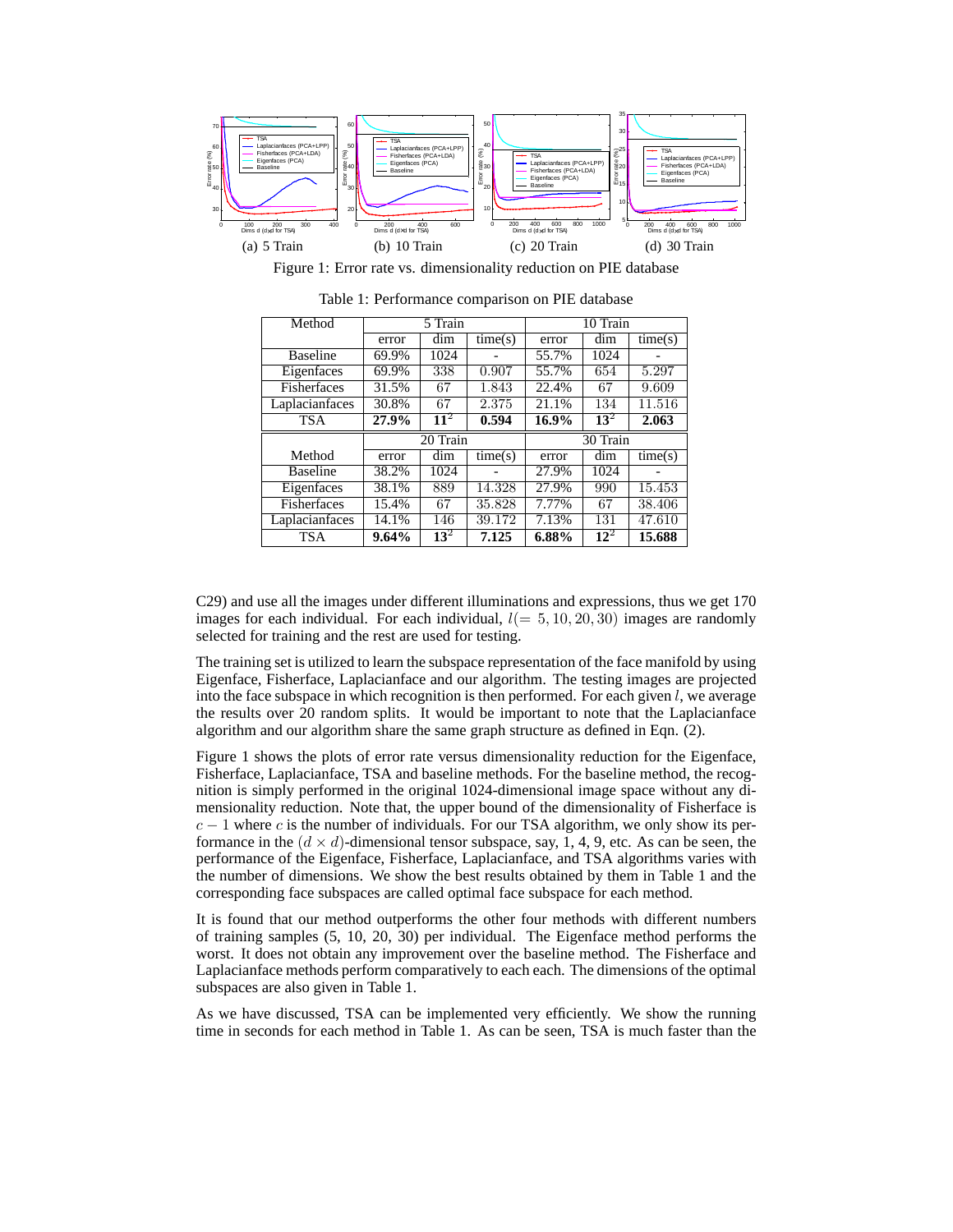

Figure 1: Error rate vs. dimensionality reduction on PIE database

| Method          | 5 Train |                 |         | 10 Train |          |         |  |
|-----------------|---------|-----------------|---------|----------|----------|---------|--|
|                 | error   | dim             | time(s) | error    | dim      | time(s) |  |
| <b>Baseline</b> | 69.9%   | 1024            |         | 55.7%    | 1024     |         |  |
| Eigenfaces      | 69.9%   | 338             | 0.907   | 55.7%    | 654      | 5.297   |  |
| Fisherfaces     | 31.5%   | 67              | 1.843   | 22.4%    | 67       | 9.609   |  |
| Laplacianfaces  | 30.8%   | 67              | 2.375   | 21.1%    | 134      | 11.516  |  |
| <b>TSA</b>      | 27.9%   | 11 <sup>2</sup> | 0.594   | 16.9%    | $13^2$   | 2.063   |  |
|                 |         |                 |         |          |          |         |  |
|                 |         | 20 Train        |         |          | 30 Train |         |  |
| Method          | error   | dim             | time(s) | error    | dim      | time(s) |  |
| <b>Baseline</b> | 38.2%   | 1024            |         | 27.9%    | 1024     |         |  |
| Eigenfaces      | 38.1%   | 889             | 14.328  | 27.9%    | 990      | 15.453  |  |
| Fisherfaces     | 15.4%   | 67              | 35.828  | 7.77%    | 67       | 38.406  |  |
| Laplacianfaces  | 14.1%   | 146             | 39.172  | 7.13%    | 131      | 47.610  |  |

Table 1: Performance comparison on PIE database

C29) and use all the images under different illuminations and expressions, thus we get 170 images for each individual. For each individual,  $l(= 5, 10, 20, 30)$  images are randomly selected for training and the rest are used for testing.

The training set is utilized to learn the subspace representation of the face manifold by using Eigenface, Fisherface, Laplacianface and our algorithm. The testing images are projected into the face subspace in which recognition is then performed. For each given  $l$ , we average the results over 20 random splits. It would be important to note that the Laplacianface algorithm and our algorithm share the same graph structure as defined in Eqn. (2).

Figure 1 shows the plots of error rate versus dimensionality reduction for the Eigenface, Fisherface, Laplacianface, TSA and baseline methods. For the baseline method, the recognition is simply performed in the original 1024-dimensional image space without any dimensionality reduction. Note that, the upper bound of the dimensionality of Fisherface is  $c - 1$  where c is the number of individuals. For our TSA algorithm, we only show its performance in the  $(d \times d)$ -dimensional tensor subspace, say, 1, 4, 9, etc. As can be seen, the performance of the Eigenface, Fisherface, Laplacianface, and TSA algorithms varies with the number of dimensions. We show the best results obtained by them in Table 1 and the corresponding face subspaces are called optimal face subspace for each method.

It is found that our method outperforms the other four methods with different numbers of training samples (5, 10, 20, 30) per individual. The Eigenface method performs the worst. It does not obtain any improvement over the baseline method. The Fisherface and Laplacianface methods perform comparatively to each each. The dimensions of the optimal subspaces are also given in Table 1.

As we have discussed, TSA can be implemented very efficiently. We show the running time in seconds for each method in Table 1. As can be seen, TSA is much faster than the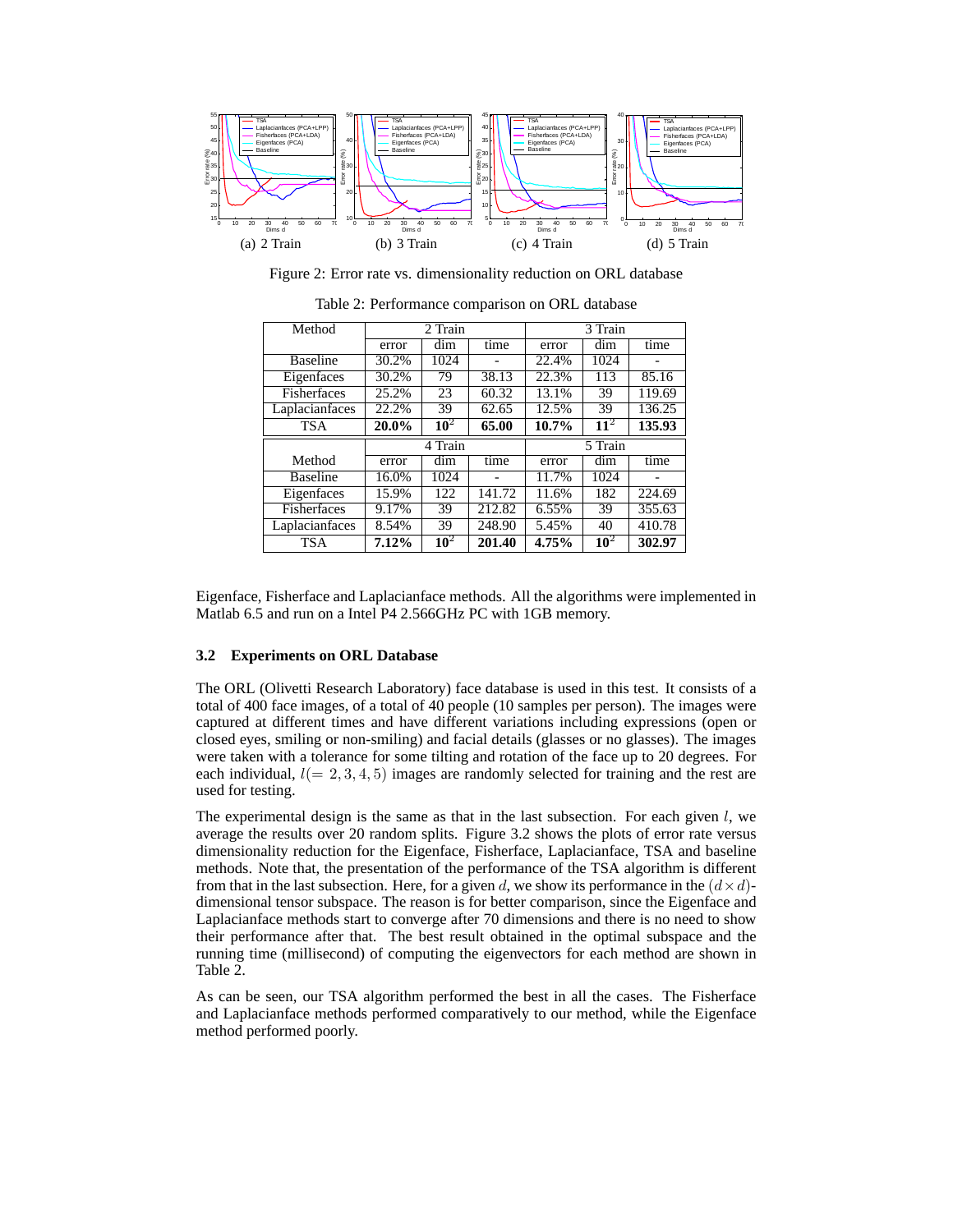

Figure 2: Error rate vs. dimensionality reduction on ORL database

| Method          | 2 Train |        |        | 3 Train |         |        |  |
|-----------------|---------|--------|--------|---------|---------|--------|--|
|                 | error   | dim    | time   | error   | dim     | time   |  |
| <b>Baseline</b> | 30.2%   | 1024   |        | 22.4%   | 1024    |        |  |
| Eigenfaces      | 30.2%   | 79     | 38.13  | 22.3%   | 113     | 85.16  |  |
| Fisherfaces     | 25.2%   | 23     | 60.32  | 13.1%   | 39      | 119.69 |  |
| Laplacianfaces  | 22.2%   | 39     | 62.65  | 12.5%   | 39      | 136.25 |  |
| <b>TSA</b>      | 20.0%   | $10^2$ | 65.00  | 10.7%   | $11^2$  | 135.93 |  |
|                 | 4 Train |        |        |         |         |        |  |
|                 |         |        |        |         | 5 Train |        |  |
| Method          | error   | dim    | time   | error   | dim     | time   |  |
| <b>Baseline</b> | 16.0%   | 1024   |        | 11.7%   | 1024    |        |  |
| Eigenfaces      | 15.9%   | 122    | 141.72 | 11.6%   | 182     | 224.69 |  |
| Fisherfaces     | 9.17%   | 39     | 212.82 | 6.55%   | 39      | 355.63 |  |
| Laplacianfaces  | 8.54%   | 39     | 248.90 | 5.45%   | 40      | 410.78 |  |

Table 2: Performance comparison on ORL database

Eigenface, Fisherface and Laplacianface methods. All the algorithms were implemented in Matlab 6.5 and run on a Intel P4 2.566GHz PC with 1GB memory.

#### **3.2 Experiments on ORL Database**

The ORL (Olivetti Research Laboratory) face database is used in this test. It consists of a total of 400 face images, of a total of 40 people (10 samples per person). The images were captured at different times and have different variations including expressions (open or closed eyes, smiling or non-smiling) and facial details (glasses or no glasses). The images were taken with a tolerance for some tilting and rotation of the face up to 20 degrees. For each individual,  $l(= 2, 3, 4, 5)$  images are randomly selected for training and the rest are used for testing.

The experimental design is the same as that in the last subsection. For each given  $l$ , we average the results over 20 random splits. Figure 3.2 shows the plots of error rate versus dimensionality reduction for the Eigenface, Fisherface, Laplacianface, TSA and baseline methods. Note that, the presentation of the performance of the TSA algorithm is different from that in the last subsection. Here, for a given d, we show its performance in the  $(d \times d)$ dimensional tensor subspace. The reason is for better comparison, since the Eigenface and Laplacianface methods start to converge after 70 dimensions and there is no need to show their performance after that. The best result obtained in the optimal subspace and the running time (millisecond) of computing the eigenvectors for each method are shown in Table 2.

As can be seen, our TSA algorithm performed the best in all the cases. The Fisherface and Laplacianface methods performed comparatively to our method, while the Eigenface method performed poorly.